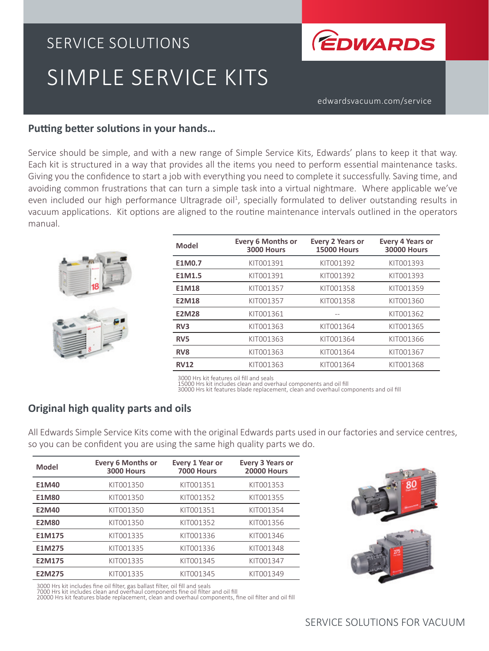# SERVICE SOLUTIONS SIMPLE SERVICE KITS



edwardsvacuum.com/service

## **Putting better solutions in your hands…**

Service should be simple, and with a new range of Simple Service Kits, Edwards' plans to keep it that way. Each kit is structured in a way that provides all the items you need to perform essential maintenance tasks. Giving you the confidence to start a job with everything you need to complete it successfully. Saving time, and avoiding common frustrations that can turn a simple task into a virtual nightmare. Where applicable we've even included our high performance Ultragrade oil<sup>1</sup>, specially formulated to deliver outstanding results in vacuum applications. Kit options are aligned to the routine maintenance intervals outlined in the operators manual.

| <b>Model</b>    | <b>Every 6 Months or</b><br>3000 Hours | <b>Every 2 Years or</b><br><b>15000 Hours</b> | <b>Every 4 Years or</b><br><b>30000 Hours</b> |
|-----------------|----------------------------------------|-----------------------------------------------|-----------------------------------------------|
| E1M0.7          | KIT001391                              | KIT001392                                     | KIT001393                                     |
| E1M1.5          | KIT001391                              | KIT001392                                     | KIT001393                                     |
| <b>E1M18</b>    | KIT001357                              | KIT001358                                     | KIT001359                                     |
| <b>E2M18</b>    | KIT001357                              | KIT001358                                     | KIT001360                                     |
| <b>E2M28</b>    | KIT001361                              |                                               | KIT001362                                     |
| R <sub>3</sub>  | KIT001363                              | KIT001364                                     | KIT001365                                     |
| RV <sub>5</sub> | KIT001363                              | KIT001364                                     | KIT001366                                     |
| RV <sub>8</sub> | KIT001363                              | KIT001364                                     | KIT001367                                     |
| <b>RV12</b>     | KIT001363                              | KIT001364                                     | KIT001368                                     |

3000 Hrs kit features oil fill and seals

15000 Hrs kit includes clean and overhaul components and oil fill

30000 Hrs kit features blade replacement, clean and overhaul components and oil fill

## **Original high quality parts and oils**

All Edwards Simple Service Kits come with the original Edwards parts used in our factories and service centres, so you can be confident you are using the same high quality parts we do.

| <b>Model</b>  | <b>Every 6 Months or</b><br>3000 Hours | Every 1 Year or<br>7000 Hours | <b>Every 3 Years or</b><br><b>20000 Hours</b> |
|---------------|----------------------------------------|-------------------------------|-----------------------------------------------|
| E1M40         | KIT001350                              | KIT001351                     | KIT001353                                     |
| <b>E1M80</b>  | KIT001350                              | KIT001352                     | KIT001355                                     |
| <b>E2M40</b>  | KIT001350                              | KIT001351                     | KIT001354                                     |
| <b>E2M80</b>  | KIT001350                              | KIT001352                     | KIT001356                                     |
| E1M175        | KIT001335                              | KIT001336                     | KIT001346                                     |
| E1M275        | KIT001335                              | KIT001336                     | KIT001348                                     |
| <b>E2M175</b> | KIT001335                              | KIT001345                     | KIT001347                                     |
| <b>E2M275</b> | KIT001335                              | KIT001345                     | KIT001349                                     |



3000 Hrs kit includes fine oil filter, gas ballast filter, oil fill and seals<br>7000 Hrs kit includes clean and overhaul components fine oil filter and oil fill<br>20000 Hrs kit features blade replacement, clean and overhaul co